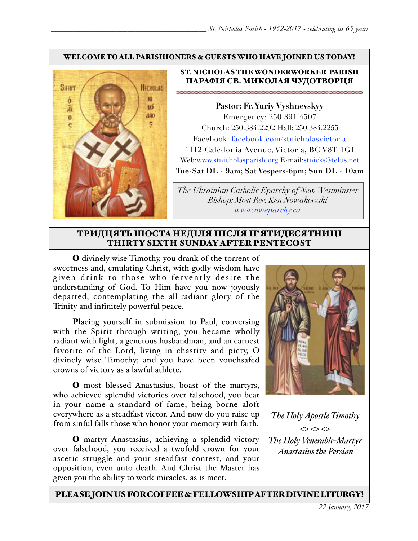#### WELCOME TO ALL PARISHIONERS & GUESTS WHO HAVE JOINED US TODAY!



#### ST. NICHOLAS THE WONDERWORKER PARISH ПАРАФІЯ СВ. МИКОЛАЯ ЧУДОТВОРЦЯ

**Pastor: Fr. Yuriy Vyshnevskyy** Emergency: 250.891.4507 Church: 250.384.2292 Hall: 250.384.2255 Facebook: facebook.com/stnicholasvictoria 1112 Caledonia Avenue, Victoria, BC V8T 1G1 Web[:www.stnicholasparish.org](http://www.stnicholasparish.org) E-mail:[stnicks@telus.net](mailto:stnicks@telus.net) **Tue-Sat DL - 9am; Sat Vespers-6pm; Sun DL - 10am**

*The Ukrainian Catholic Eparchy of New Westminster Bishop: Most Rev. Ken Nowakowski [www.nweparchy.ca](http://www.nweparchy.ca)*

#### ТРИДЦЯТЬШОСТАНЕДІЛЯ ПІСЛЯ П'ЯТИДЕСЯТНИЦІ THIRTY SIXTH SUNDAY AFTER PENTECOST

O divinely wise Timothy, you drank of the torrent of sweetness and, emulating Christ, with godly wisdom have given drink to those who fervently desire the understanding of God. To Him have you now joyously departed, contemplating the all-radiant glory of the Trinity and infinitely powerful peace.

Placing yourself in submission to Paul, conversing with the Spirit through writing, you became wholly radiant with light, a generous husbandman, and an earnest favorite of the Lord, living in chastity and piety, O divinely wise Timothy; and you have been vouchsafed crowns of victory as a lawful athlete.

O most blessed Anastasius, boast of the martyrs, who achieved splendid victories over falsehood, you bear in your name a standard of fame, being borne aloft everywhere as a steadfast victor. And now do you raise up from sinful falls those who honor your memory with faith.

O martyr Anastasius, achieving a splendid victory over falsehood, you received a twofold crown for your ascetic struggle and your steadfast contest, and your opposition, even unto death. And Christ the Master has given you the ability to work miracles, as is meet.



*The Holy Apostle Timothy*  $\Leftrightarrow$   $\Leftrightarrow$   $\Leftrightarrow$ *The Holy Venerable-Martyr Anastasius the Persian*

#### PLEASE JOIN US FOR COFFEE & FELLOWSHIP AFTER DIVINE LITURGY!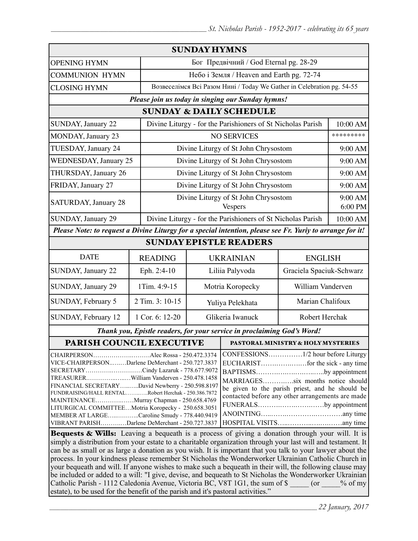|                                                                                                                                                                                                                                                                                                                                                                                                                                                                                                                                                                                                                 |                 | <b>SUNDAY HYMNS</b>                                                    |                                                                                                                                                                                              |                                                             |                    |  |
|-----------------------------------------------------------------------------------------------------------------------------------------------------------------------------------------------------------------------------------------------------------------------------------------------------------------------------------------------------------------------------------------------------------------------------------------------------------------------------------------------------------------------------------------------------------------------------------------------------------------|-----------------|------------------------------------------------------------------------|----------------------------------------------------------------------------------------------------------------------------------------------------------------------------------------------|-------------------------------------------------------------|--------------------|--|
| <b>OPENING HYMN</b>                                                                                                                                                                                                                                                                                                                                                                                                                                                                                                                                                                                             |                 | Бог Предвічний / God Eternal pg. 28-29                                 |                                                                                                                                                                                              |                                                             |                    |  |
| <b>COMMUNION HYMN</b>                                                                                                                                                                                                                                                                                                                                                                                                                                                                                                                                                                                           |                 | Небо і Земля / Heaven and Earth pg. 72-74                              |                                                                                                                                                                                              |                                                             |                    |  |
| <b>CLOSING HYMN</b>                                                                                                                                                                                                                                                                                                                                                                                                                                                                                                                                                                                             |                 | Возвеселімся Всі Разом Нині / Today We Gather in Celebration pg. 54-55 |                                                                                                                                                                                              |                                                             |                    |  |
|                                                                                                                                                                                                                                                                                                                                                                                                                                                                                                                                                                                                                 |                 |                                                                        | Please join us today in singing our Sunday hymns!                                                                                                                                            |                                                             |                    |  |
| <b>SUNDAY &amp; DAILY SCHEDULE</b>                                                                                                                                                                                                                                                                                                                                                                                                                                                                                                                                                                              |                 |                                                                        |                                                                                                                                                                                              |                                                             |                    |  |
| <b>SUNDAY, January 22</b>                                                                                                                                                                                                                                                                                                                                                                                                                                                                                                                                                                                       |                 | Divine Liturgy - for the Parishioners of St Nicholas Parish            |                                                                                                                                                                                              |                                                             | 10:00 AM           |  |
| MONDAY, January 23                                                                                                                                                                                                                                                                                                                                                                                                                                                                                                                                                                                              |                 | <b>NO SERVICES</b>                                                     |                                                                                                                                                                                              |                                                             | *********          |  |
| TUESDAY, January 24                                                                                                                                                                                                                                                                                                                                                                                                                                                                                                                                                                                             |                 | Divine Liturgy of St John Chrysostom                                   |                                                                                                                                                                                              |                                                             | 9:00 AM            |  |
| <b>WEDNESDAY, January 25</b>                                                                                                                                                                                                                                                                                                                                                                                                                                                                                                                                                                                    |                 | Divine Liturgy of St John Chrysostom                                   |                                                                                                                                                                                              |                                                             |                    |  |
| THURSDAY, January 26                                                                                                                                                                                                                                                                                                                                                                                                                                                                                                                                                                                            |                 | Divine Liturgy of St John Chrysostom                                   |                                                                                                                                                                                              |                                                             | 9:00 AM            |  |
| FRIDAY, January 27                                                                                                                                                                                                                                                                                                                                                                                                                                                                                                                                                                                              |                 |                                                                        | Divine Liturgy of St John Chrysostom                                                                                                                                                         |                                                             | 9:00 AM            |  |
| SATURDAY, January 28                                                                                                                                                                                                                                                                                                                                                                                                                                                                                                                                                                                            |                 | Divine Liturgy of St John Chrysostom<br><b>Vespers</b>                 |                                                                                                                                                                                              |                                                             | 9:00 AM<br>6:00 PM |  |
| SUNDAY, January 29                                                                                                                                                                                                                                                                                                                                                                                                                                                                                                                                                                                              |                 |                                                                        |                                                                                                                                                                                              | Divine Liturgy - for the Parishioners of St Nicholas Parish |                    |  |
| Please Note: to request a Divine Liturgy for a special intention, please see Fr. Yuriy to arrange for it!                                                                                                                                                                                                                                                                                                                                                                                                                                                                                                       |                 |                                                                        |                                                                                                                                                                                              |                                                             |                    |  |
| <b>SUNDAY EPISTLE READERS</b>                                                                                                                                                                                                                                                                                                                                                                                                                                                                                                                                                                                   |                 |                                                                        |                                                                                                                                                                                              |                                                             |                    |  |
| <b>DATE</b>                                                                                                                                                                                                                                                                                                                                                                                                                                                                                                                                                                                                     | <b>READING</b>  | <b>UKRAINIAN</b>                                                       |                                                                                                                                                                                              | <b>ENGLISH</b>                                              |                    |  |
| SUNDAY, January 22                                                                                                                                                                                                                                                                                                                                                                                                                                                                                                                                                                                              | Eph. 2:4-10     | Liliia Palyvoda                                                        |                                                                                                                                                                                              | Graciela Spaciuk-Schwarz                                    |                    |  |
| SUNDAY, January 29                                                                                                                                                                                                                                                                                                                                                                                                                                                                                                                                                                                              | 1Tim. 4:9-15    | Motria Koropecky                                                       |                                                                                                                                                                                              | William Vanderven                                           |                    |  |
| SUNDAY, February 5                                                                                                                                                                                                                                                                                                                                                                                                                                                                                                                                                                                              | 2 Tim. 3: 10-15 | Yuliya Pelekhata                                                       |                                                                                                                                                                                              | Marian Chalifoux                                            |                    |  |
| SUNDAY, February 12                                                                                                                                                                                                                                                                                                                                                                                                                                                                                                                                                                                             | 1 Cor. 6: 12-20 | Glikeria Iwanuck                                                       |                                                                                                                                                                                              | Robert Herchak                                              |                    |  |
| Thank you, Epistle readers, for your service in proclaiming God's Word!                                                                                                                                                                                                                                                                                                                                                                                                                                                                                                                                         |                 |                                                                        |                                                                                                                                                                                              |                                                             |                    |  |
| PARISH COUNCIL EXECUTIVE                                                                                                                                                                                                                                                                                                                                                                                                                                                                                                                                                                                        |                 |                                                                        | PASTORAL MINISTRY & HOLY MYSTERIES                                                                                                                                                           |                                                             |                    |  |
| CHAIRPERSONAlec Rossa - 250.472.3374<br>VICE-CHAIRPERSONDarlene DeMerchant - 250.727.3837<br>SECRETARYCindy Lazaruk - 778.677.9072<br>TREASURERWilliam Vanderven - 250.478.1458<br>FINANCIAL SECRETARYDavid Newberry - 250.598.8197<br>FUNDRAISING/HALL RENTALRobert Herchak - 250.386.7872<br>MAINTENANCEMurray Chapman - 250.658.4769<br>LITURGICAL COMMITTEEMotria Koropecky - 250.658.3051<br>MEMBER AT LARGECaroline Smudy - 778.440.9419<br>VIBRANT PARISHDarlene DeMerchant - 250.727.3837<br><b>Bequests &amp; Wills:</b> Leaving a bequeath is a process of giving a donation through your will. It is |                 |                                                                        | BAPTISMSby appointment<br>MARRIAGESsix months notice should<br>be given to the parish priest, and he should be<br>contacted before any other arrangements are made<br>FUNERALSby appointment |                                                             |                    |  |

Bequests & Wills: Leaving a bequeath is a process of giving a donation through your will. It is simply a distribution from your estate to a charitable organization through your last will and testament. It can be as small or as large a donation as you wish. It is important that you talk to your lawyer about the process. In your kindness please remember St Nicholas the Wonderworker Ukrainian Catholic Church in your bequeath and will. If anyone wishes to make such a bequeath in their will, the following clause may be included or added to a will: "I give, devise, and bequeath to St Nicholas the Wonderworker Ukrainian Catholic Parish - 1112 Caledonia Avenue, Victoria BC, V8T 1G1, the sum of \$  $\qquad \qquad$  (or  $\qquad \qquad$  % of my estate), to be used for the benefit of the parish and it's pastoral activities."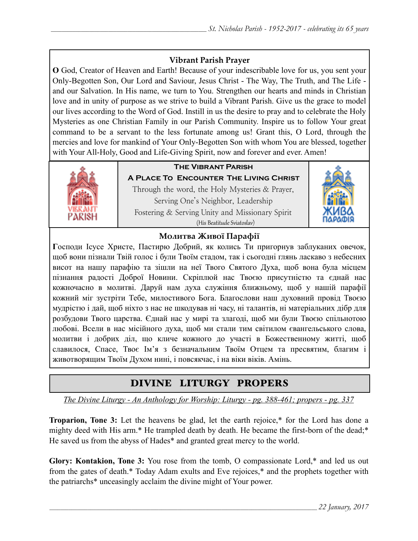### **Vibrant Parish Prayer**

**O** God, Creator of Heaven and Earth! Because of your indescribable love for us, you sent your Only-Begotten Son, Our Lord and Saviour, Jesus Christ - The Way, The Truth, and The Life and our Salvation. In His name, we turn to You. Strengthen our hearts and minds in Christian love and in unity of purpose as we strive to build a Vibrant Parish. Give us the grace to model our lives according to the Word of God. Instill in us the desire to pray and to celebrate the Holy Mysteries as one Christian Family in our Parish Community. Inspire us to follow Your great command to be a servant to the less fortunate among us! Grant this, O Lord, through the mercies and love for mankind of Your Only-Begotten Son with whom You are blessed, together with Your All-Holy, Good and Life-Giving Spirit, now and forever and ever. Amen!



## **The Vibrant Parish**

**A Place To Encounter The Living Christ** Through the word, the Holy Mysteries & Prayer, Serving One's Neighbor, Leadership Fostering & Serving Unity and Missionary Spirit (His Beatitude Sviatoslav)



### **Молитва Живої Парафії**

**Г**осподи Ісусе Христе, Пастирю Добрий, як колись Ти пригорнув заблуканих овечок, щоб вони пізнали Твій голос і були Твоїм стадом, так і сьогодні глянь ласкаво з небесних висот на нашу парафію та зішли на неї Твого Святого Духа, щоб вона була місцем пізнання радості Доброї Новини. Скріплюй нас Твоєю присутністю та єднай нас кожночасно в молитві. Даруй нам духа служіння ближньому, щоб у нашій парафії кожний міг зустріти Тебе, милостивого Бога. Благослови наш духовний провід Твоєю мудрістю і дай, щоб ніхто з нас не шкодував ні часу, ні талантів, ні матеріальних дібр для розбудови Твого царства. Єднай нас у мирі та злагоді, щоб ми були Твоєю спільнотою любові. Всели в нас місійного духа, щоб ми стали тим світилом євангельського слова, молитви і добрих діл, що кличе кожного до участі в Божественному житті, щоб славилося, Спасе, Твоє Ім'я з безначальним Твоїм Отцем та пресвятим, благим і животворящим Твоїм Духом нині, і повсякчас, і на віки віків. Амінь.

# DIVINE LITURGY PROPERS

*The Divine Liturgy - An Anthology for Worship: Liturgy - pg. 388-461; propers - pg. 337* 

**Troparion, Tone 3:** Let the heavens be glad, let the earth rejoice,\* for the Lord has done a mighty deed with His arm.\* He trampled death by death. He became the first-born of the dead;\* He saved us from the abyss of Hades\* and granted great mercy to the world.

**Glory: Kontakion, Tone 3:** You rose from the tomb, O compassionate Lord,\* and led us out from the gates of death.\* Today Adam exults and Eve rejoices,\* and the prophets together with the patriarchs\* unceasingly acclaim the divine might of Your power.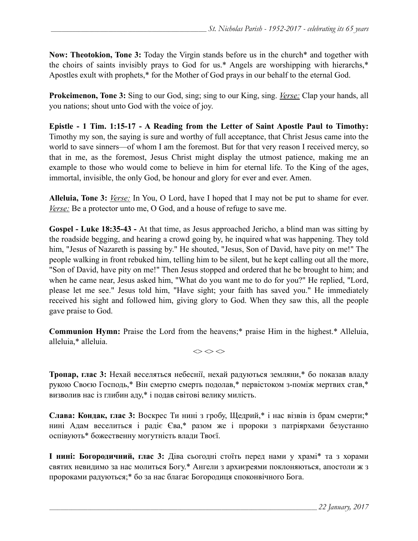**Now: Theotokion, Tone 3:** Today the Virgin stands before us in the church\* and together with the choirs of saints invisibly prays to God for us.\* Angels are worshipping with hierarchs,\* Apostles exult with prophets,\* for the Mother of God prays in our behalf to the eternal God.

**Prokeimenon, Tone 3:** Sing to our God, sing; sing to our King, sing. *Verse:* Clap your hands, all you nations; shout unto God with the voice of joy.

**Epistle - 1 Tim. 1:15-17 - A Reading from the Letter of Saint Apostle Paul to Timothy:** Timothy my son, the saying is sure and worthy of full acceptance, that Christ Jesus came into the world to save sinners—of whom I am the foremost. But for that very reason I received mercy, so that in me, as the foremost, Jesus Christ might display the utmost patience, making me an example to those who would come to believe in him for eternal life. To the King of the ages, immortal, invisible, the only God, be honour and glory for ever and ever. Amen.

**Alleluia, Tone 3:** *Verse:* In You, O Lord, have I hoped that I may not be put to shame for ever. *Verse:* Be a protector unto me, O God, and a house of refuge to save me.

**Gospel - Luke 18:35-43 -** At that time, as Jesus approached Jericho, a blind man was sitting by the roadside begging, and hearing a crowd going by, he inquired what was happening. They told him, "Jesus of Nazareth is passing by." He shouted, "Jesus, Son of David, have pity on me!" The people walking in front rebuked him, telling him to be silent, but he kept calling out all the more, "Son of David, have pity on me!" Then Jesus stopped and ordered that he be brought to him; and when he came near, Jesus asked him, "What do you want me to do for you?" He replied, "Lord, please let me see." Jesus told him, "Have sight; your faith has saved you." He immediately received his sight and followed him, giving glory to God. When they saw this, all the people gave praise to God.

**Communion Hymn:** Praise the Lord from the heavens;\* praise Him in the highest.\* Alleluia, alleluia,\* alleluia.

 $\Leftrightarrow$   $\Leftrightarrow$   $\Leftrightarrow$ 

**Тропар, глас 3:** Нехай веселяться небеснії, нехай радуються земляни,\* бо показав владу рукою Своєю Господь,\* Він смертю смерть подолав,\* первістоком з-поміж мертвих став,\* визволив нас із глибин аду,\* і подав світові велику милість.

**Слава: Кондак, глас 3:** Воскрес Ти нині з гробу, Щедрий,\* і нас візвів із брам смерти;\* нині Адам веселиться і радіє Єва,\* разом же і пророки з патріярхами безустанно оспівують\* божественну могутність влади Твоєї.

**І нині: Богородичний, глас 3:** Діва сьогодні стоїть перед нами у храмі\* та з хорами святих невидимо за нас молиться Богу.\* Ангели з архиєреями поклоняються, апостоли ж з пророками радуються;\* бо за нас благає Богородиця споконвічного Бога.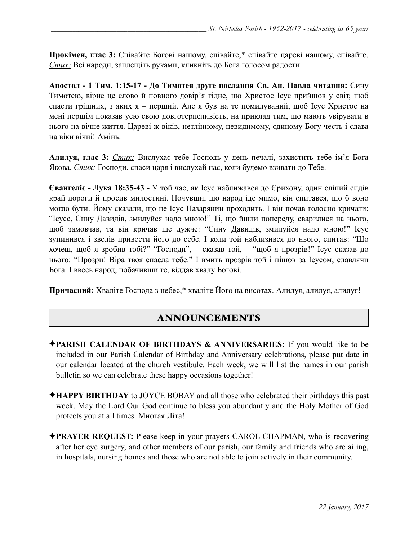**Прокімен, глас 3:** Співайте Богові нашому, співайте;\* співайте цареві нашому, співайте. *Стих:* Всі народи, заплещіть руками, кликніть до Бога голосом радости.

**Апостол - 1 Тим. 1:15-17 - До Тимотея друге послання Св. Ап. Павла читання:** Сину Тимотею, вірне це слово й повного довір'я гідне, що Христос Ісус прийшов у світ, щоб спасти грішних, з яких я – перший. Але я був на те помилуваний, щоб Ісус Христос на мені першім показав усю свою довготерпеливість, на приклад тим, що мають увірувати в нього на вічне життя. Цареві ж віків, нетлінному, невидимому, єдиному Богу честь і слава на віки вічні! Амінь.

**Алилуя, глас 3:** *Стих:* Вислухає тебе Господь у день печалі, захистить тебе ім'я Бога Якова. *Стих:* Господи, спаси царя і вислухай нас, коли будемо взивати до Тебе.

**Євангеліє - Лука 18:35-43 -** У той час, як Ісус наближався до Єрихону, один сліпий сидів край дороги й просив милостині. Почувши, що народ іде мимо, він спитався, що б воно могло бути. Йому сказали, що це Ісус Назарянин проходить. І він почав голосно кричати: "Ісусе, Сину Давидів, змилуйся надо мною!" Ті, що йшли попереду, сварилися на нього, щоб замовчав, та він кричав ще дужче: "Сину Давидів, змилуйся надо мною!" Ісус зупинився і звелів привести його до себе. І коли той наблизився до нього, спитав: "Що хочеш, щоб я зробив тобі?" "Господи", – сказав той, – "щоб я прозрів!" Ісус сказав до нього: "Прозри! Віра твоя спасла тебе." І вмить прозрів той і пішов за Ісусом, славлячи Бога. І ввесь народ, побачивши те, віддав хвалу Богові.

**Причасний:** Хваліте Господа з небес,\* хваліте Його на висотах. Алилуя, алилуя, алилуя!

# ANNOUNCEMENTS

- ✦**PARISH CALENDAR OF BIRTHDAYS & ANNIVERSARIES:** If you would like to be included in our Parish Calendar of Birthday and Anniversary celebrations, please put date in our calendar located at the church vestibule. Each week, we will list the names in our parish bulletin so we can celebrate these happy occasions together!
- ✦**HAPPY BIRTHDAY** to JOYCE BOBAY and all those who celebrated their birthdays this past week. May the Lord Our God continue to bless you abundantly and the Holy Mother of God protects you at all times. Многая Літа!
- ✦**PRAYER REQUEST:** Please keep in your prayers CAROL CHAPMAN, who is recovering after her eye surgery, and other members of our parish, our family and friends who are ailing, in hospitals, nursing homes and those who are not able to join actively in their community.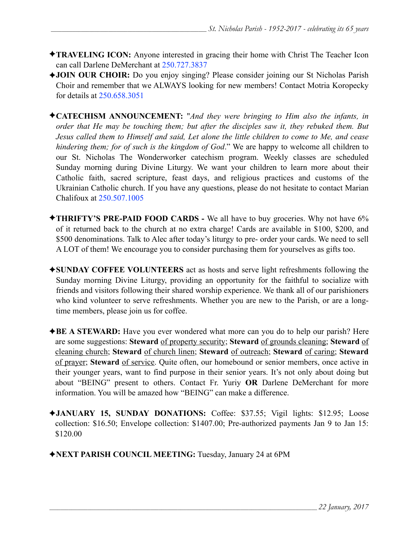- ✦**TRAVELING ICON:** Anyone interested in gracing their home with Christ The Teacher Icon can call Darlene DeMerchant at 250.727.3837
- ✦**JOIN OUR CHOIR:** Do you enjoy singing? Please consider joining our St Nicholas Parish Choir and remember that we ALWAYS looking for new members! Contact Motria Koropecky for details at 250.658.3051
- ✦**CATECHISM ANNOUNCEMENT:** "*And they were bringing to Him also the infants, in order that He may be touching them; but after the disciples saw it, they rebuked them. But Jesus called them to Himself and said, Let alone the little children to come to Me, and cease hindering them; for of such is the kingdom of God*." We are happy to welcome all children to our St. Nicholas The Wonderworker catechism program. Weekly classes are scheduled Sunday morning during Divine Liturgy. We want your children to learn more about their Catholic faith, sacred scripture, feast days, and religious practices and customs of the Ukrainian Catholic church. If you have any questions, please do not hesitate to contact Marian Chalifoux at 250.507.1005
- ✦**THRIFTY'S PRE-PAID FOOD CARDS** We all have to buy groceries. Why not have 6% of it returned back to the church at no extra charge! Cards are available in \$100, \$200, and \$500 denominations. Talk to Alec after today's liturgy to pre- order your cards. We need to sell A LOT of them! We encourage you to consider purchasing them for yourselves as gifts too.
- ✦**SUNDAY COFFEE VOLUNTEERS** act as hosts and serve light refreshments following the Sunday morning Divine Liturgy, providing an opportunity for the faithful to socialize with friends and visitors following their shared worship experience. We thank all of our parishioners who kind volunteer to serve refreshments. Whether you are new to the Parish, or are a longtime members, please join us for coffee.
- ✦**BE A STEWARD:** Have you ever wondered what more can you do to help our parish? Here are some suggestions: **Steward** of property security; **Steward** of grounds cleaning; **Steward** of cleaning church; **Steward** of church linen; **Steward** of outreach; **Steward** of caring; **Steward** of prayer; **Steward** of service. Quite often, our homebound or senior members, once active in their younger years, want to find purpose in their senior years. It's not only about doing but about "BEING" present to others. Contact Fr. Yuriy **OR** Darlene DeMerchant for more information. You will be amazed how "BEING" can make a difference.
- ✦**JANUARY 15, SUNDAY DONATIONS:** Coffee: \$37.55; Vigil lights: \$12.95; Loose collection: \$16.50; Envelope collection: \$1407.00; Pre-authorized payments Jan 9 to Jan 15: \$120.00
- ✦**NEXT PARISH COUNCIL MEETING:** Tuesday, January 24 at 6PM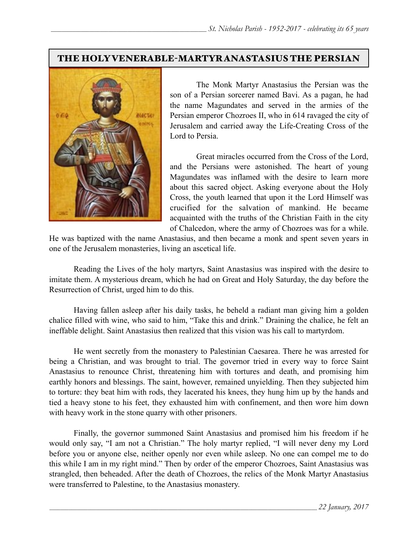### THE HOLY VENERABLE-MARTYR ANASTASIUS THE PERSIAN



 The Monk Martyr Anastasius the Persian was the son of a Persian sorcerer named Bavi. As a pagan, he had the name Magundates and served in the armies of the Persian emperor Chozroes II, who in 614 ravaged the city of Jerusalem and carried away the Life-Creating Cross of the Lord to Persia.

 Great miracles occurred from the Cross of the Lord, and the Persians were astonished. The heart of young Magundates was inflamed with the desire to learn more about this sacred object. Asking everyone about the Holy Cross, the youth learned that upon it the Lord Himself was crucified for the salvation of mankind. He became acquainted with the truths of the Christian Faith in the city of Chalcedon, where the army of Chozroes was for a while.

He was baptized with the name Anastasius, and then became a monk and spent seven years in one of the Jerusalem monasteries, living an ascetical life.

Reading the Lives of the holy martyrs, Saint Anastasius was inspired with the desire to imitate them. A mysterious dream, which he had on Great and Holy Saturday, the day before the Resurrection of Christ, urged him to do this.

Having fallen asleep after his daily tasks, he beheld a radiant man giving him a golden chalice filled with wine, who said to him, "Take this and drink." Draining the chalice, he felt an ineffable delight. Saint Anastasius then realized that this vision was his call to martyrdom.

 He went secretly from the monastery to Palestinian Caesarea. There he was arrested for being a Christian, and was brought to trial. The governor tried in every way to force Saint Anastasius to renounce Christ, threatening him with tortures and death, and promising him earthly honors and blessings. The saint, however, remained unyielding. Then they subjected him to torture: they beat him with rods, they lacerated his knees, they hung him up by the hands and tied a heavy stone to his feet, they exhausted him with confinement, and then wore him down with heavy work in the stone quarry with other prisoners.

 Finally, the governor summoned Saint Anastasius and promised him his freedom if he would only say, "I am not a Christian." The holy martyr replied, "I will never deny my Lord before you or anyone else, neither openly nor even while asleep. No one can compel me to do this while I am in my right mind." Then by order of the emperor Chozroes, Saint Anastasius was strangled, then beheaded. After the death of Chozroes, the relics of the Monk Martyr Anastasius were transferred to Palestine, to the Anastasius monastery.